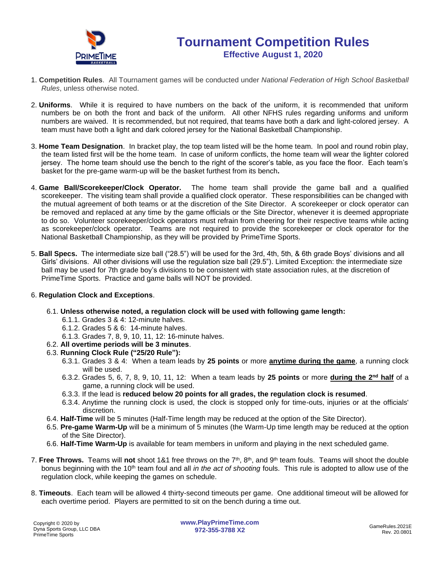

- 1. **Competition Rules**. All Tournament games will be conducted under *National Federation of High School Basketball Rules*, unless otherwise noted.
- 2. **Uniforms**. While it is required to have numbers on the back of the uniform, it is recommended that uniform numbers be on both the front and back of the uniform. All other NFHS rules regarding uniforms and uniform numbers are waived. It is recommended, but not required, that teams have both a dark and light-colored jersey. A team must have both a light and dark colored jersey for the National Basketball Championship.
- 3. **Home Team Designation**. In bracket play, the top team listed will be the home team. In pool and round robin play, the team listed first will be the home team. In case of uniform conflicts, the home team will wear the lighter colored jersey. The home team should use the bench to the right of the scorer's table, as you face the floor. Each team's basket for the pre-game warm-up will be the basket furthest from its bench**.**
- 4. **Game Ball/Scorekeeper/Clock Operator.** The home team shall provide the game ball and a qualified scorekeeper. The visiting team shall provide a qualified clock operator. These responsibilities can be changed with the mutual agreement of both teams or at the discretion of the Site Director. A scorekeeper or clock operator can be removed and replaced at any time by the game officials or the Site Director, whenever it is deemed appropriate to do so. Volunteer scorekeeper/clock operators must refrain from cheering for their respective teams while acting as scorekeeper/clock operator. Teams are not required to provide the scorekeeper or clock operator for the National Basketball Championship, as they will be provided by PrimeTime Sports.
- 5. **Ball Specs.** The intermediate size ball ("28.5") will be used for the 3rd, 4th, 5th, & 6th grade Boys' divisions and all Girls' divisions. All other divisions will use the regulation size ball (29.5"). Limited Exception: the intermediate size ball may be used for 7th grade boy's divisions to be consistent with state association rules, at the discretion of PrimeTime Sports. Practice and game balls will NOT be provided.

## 6. **Regulation Clock and Exceptions**.

- 6.1. **Unless otherwise noted, a regulation clock will be used with following game length:**
	- 6.1.1. Grades 3 & 4: 12-minute halves.
	- 6.1.2. Grades 5 & 6: 14-minute halves.
	- 6.1.3. Grades 7, 8, 9, 10, 11, 12: 16-minute halves.
- 6.2. **All overtime periods will be 3 minutes**.
- 6.3. **Running Clock Rule ("25/20 Rule"):**
	- 6.3.1. Grades 3 & 4: When a team leads by **25 points** or more **anytime during the game**, a running clock will be used.
	- 6.3.2. Grades 5, 6, 7, 8, 9, 10, 11, 12: When a team leads by **25 points** or more **during the 2nd half** of a game, a running clock will be used.
	- 6.3.3. If the lead is **reduced below 20 points for all grades, the regulation clock is resumed**.
	- 6.3.4. Anytime the running clock is used, the clock is stopped only for time-outs, injuries or at the officials' discretion.
- 6.4. **Half-Time** will be 5 minutes (Half-Time length may be reduced at the option of the Site Director).
- 6.5. **Pre-game Warm-Up** will be a minimum of 5 minutes (the Warm-Up time length may be reduced at the option of the Site Director).
- 6.6. **Half-Time Warm-Up** is available for team members in uniform and playing in the next scheduled game.
- 7. **Free Throws.** Teams will not shoot 1&1 free throws on the 7<sup>th</sup>, 8<sup>th</sup>, and 9<sup>th</sup> team fouls. Teams will shoot the double bonus beginning with the 10<sup>th</sup> team foul and all *in the act of shooting* fouls. This rule is adopted to allow use of the regulation clock, while keeping the games on schedule.
- 8. **Timeouts**. Each team will be allowed 4 thirty-second timeouts per game. One additional timeout will be allowed for each overtime period. Players are permitted to sit on the bench during a time out.